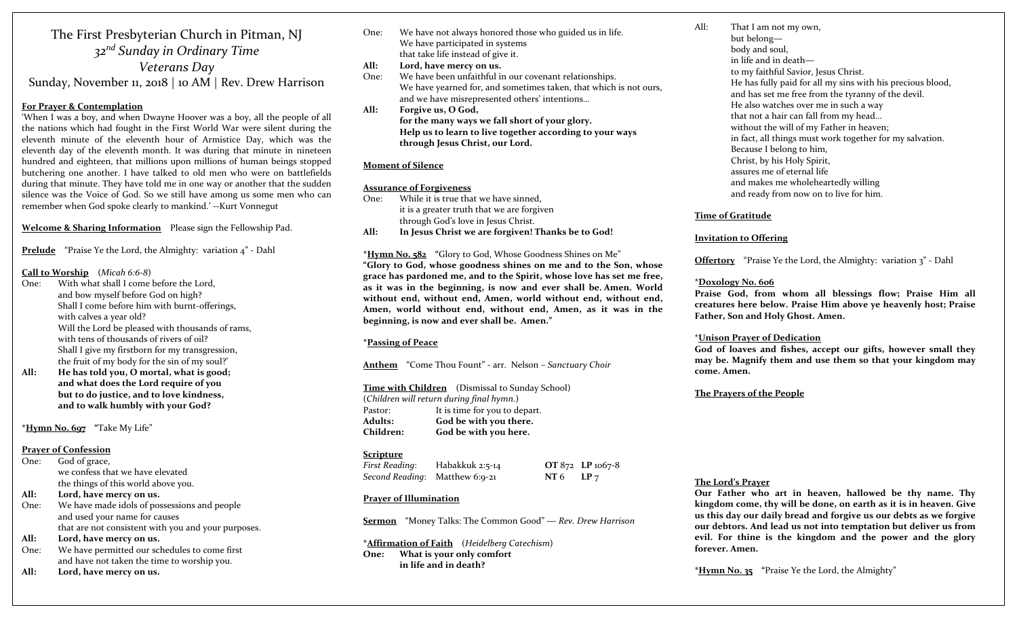#### The First Presbyterian Church in Pitman, NJ *<sup>32</sup>nd Sunday in Ordinary Time Veterans Day* Sunday, November 11, <sup>2018</sup> | <sup>10</sup> AM | Rev. Drew Harrison

#### **For Prayer & Contemplation**

'When I was <sup>a</sup> boy, and when Dwayne Hoover was <sup>a</sup> boy, all the people of all the nations which had fought in the First World War were silent during the eleventh minute of the eleventh hour of Armistice Day, which was the eleventh day of the eleventh month. It was during that minute in nineteen hundred and eighteen, that millions upon millions of human beings stopped butchering one another. <sup>I</sup> have talked to old men who were on battlefields during that minute. They have told me in one way or another that the sudden silence was the Voice of God. So we still have among us some men who can remember when God spoke clearly to mankind.' ‐‐Kurt Vonnegut

**Welcome & Sharing Information** Please sign the Fellowship Pad.

**Prelude** "Praise Ye the Lord, the Almighty: variation <sup>4</sup>" ‐ Dahl

#### **Call to Worship** (*Micah 6:6‐8*)

- One: With what shall I come before the Lord, and bow myself before God on high? Shall I come before him with burnt‐offerings, with calves <sup>a</sup> year old? Will the Lord be pleased with thousands of rams, with tens of thousands of rivers of oil? Shall I give my firstborn for my transgression, the fruit of my body for the sin of my soul?'
- **All: He has told you, O mortal, what is good; and what does the Lord require of you but to do justice, and to love kindness, and to walk humbly with your God?**

**\*Hymn No. 697 "**Take My Life"

#### **Prayer of Confession**

- One: God of grace, we confess that we have elevated the things of this world above you.
- **All:Lord, have mercy on us.**
- One: We have made idols of possessions and people and used your name for causes that are not consistent with you and your purposes.
- **All:Lord, have mercy on us.**
- One: We have permitted our schedules to come first and have not taken the time to worship you.
- **All:Lord, have mercy on us.**
- One: We have not always honored those who guided us in life. We have participated in systems that take life instead of give it.
- **All:Lord, have mercy on us.**
- One: We have been unfaithful in our covenant relationships. We have yearned for, and sometimes taken, that which is not ours, and we have misrepresented others' intentions…
- **All: Forgive us, O God, for the many ways we fall short of your glory. Help us to learn to live together according to your ways through Jesus Christ, our Lord.**

#### **Moment of Silence**

#### **Assurance of Forgiveness**

 $One.$  While it is true that we have sinned, it is a greater truth that we are forgiven through God's love in Jesus Christ. **All:In Jesus Christ we are forgiven! Thanks be to God!**

**\*Hymn No. <sup>5</sup><sup>82</sup> "**Glory to God, Whose Goodness Shines on Me" **"Glory to God, whose goodness shines on me and to the Son, whose grace has pardoned me, and to the Spirit, whose love has set me free, as it was in the beginning, is now and ever shall be. Amen. World without end, without end, Amen, world without end, without end, Amen, world without end, without end, Amen, as it was in the beginning, is now and ever shall be. Amen."**

#### **\*Passing of Peace**

**Anthem** "Come Thou Fount" ‐ arr. Nelson – *Sanctuary Choir*

**Time with Children** (Dismissal to Sunday School) (*Children will return during final hymn.*) Pastor: It is time for you to depart. **Adults:**

 **God be with you there. Children:God be with you here.**

#### **Scripture**

*First Reading*: Habakkuk 2:5‐<sup>14</sup> **OT** 872 **LP** 1067‐<sup>8</sup> *Second Reading*: Matthew 6:9‐<sup>21</sup> **NT** 6 **LP** <sup>7</sup>

#### **Prayer of Illumination**

**Sermon** "Money Talks: The Common Good" ― *Rev. Drew Harrison*

**\*Affirmation of Faith** (*Heidelberg Catechism*) **One: What is your only comfort in life and in death?**

 That I am not my own, but belong body and soul, in life and in deathto my faithful Savior, Jesus Christ. He has fully paid for all my sins with his precious blood, and has set me free from the tyranny of the devil. He also watches over me in such <sup>a</sup> way that not a hair can fall from my head… without the will of my Father in heaven; in fact, all things must work together for my salvation. Because <sup>I</sup> belong to him, Christ, by his Holy Spirit, assures me of eternal life and makes me wholeheartedly willing and ready from now on to live for him.

#### **Time of Gratitude**

All:

#### **Invitation to Offering**

**Offertory** "Praise Ye the Lord, the Almighty: variation 3" - Dahl

#### **\*Doxology No. 606**

**Praise God, from whom all blessings flow; Praise Him all creatures here below. Praise Him above ye heavenly host; Praise Father, Son and Holy Ghost. Amen.**

#### \***Unison Prayer of Dedication**

**God of loaves and fishes, accep<sup>t</sup> our gifts, however small they may be. Magnify them and use them so that your kingdom may come. Amen.**

#### **The Prayers of the People**

#### **The Lord's Prayer**

**Our Father who art in heaven, hallowed be thy name. Thy kingdom come, thy will be done, on earth as it is in heaven. Give us this day our daily bread and forgive us our debts as we forgive our debtors. And lead us not into temptation but deliver us from evil. For thine is the kingdom and the power and the glory forever. Amen.**

**\*Hymn No. <sup>35</sup> "**Praise Ye the Lord, the Almighty"